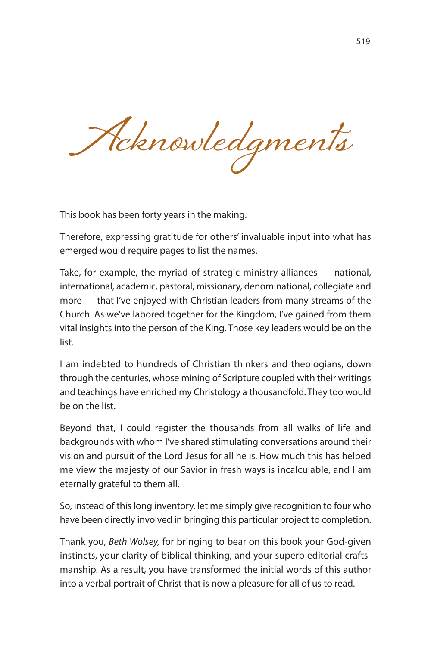**Acknowledgments**

This book has been forty years in the making.

Therefore, expressing gratitude for others' invaluable input into what has emerged would require pages to list the names.

Take, for example, the myriad of strategic ministry alliances — national, international, academic, pastoral, missionary, denominational, collegiate and more — that I've enjoyed with Christian leaders from many streams of the Church. As we've labored together for the Kingdom, I've gained from them vital insights into the person of the King. Those key leaders would be on the list.

I am indebted to hundreds of Christian thinkers and theologians, down through the centuries, whose mining of Scripture coupled with their writings and teachings have enriched my Christology a thousandfold. They too would be on the list.

Beyond that, I could register the thousands from all walks of life and backgrounds with whom I've shared stimulating conversations around their vision and pursuit of the Lord Jesus for all he is. How much this has helped me view the majesty of our Savior in fresh ways is incalculable, and I am eternally grateful to them all.

So, instead of this long inventory, let me simply give recognition to four who have been directly involved in bringing this particular project to completion.

Thank you, Beth Wolsey, for bringing to bear on this book your God-given instincts, your clarity of biblical thinking, and your superb editorial craftsmanship. As a result, you have transformed the initial words of this author into a verbal portrait of Christ that is now a pleasure for all of us to read.